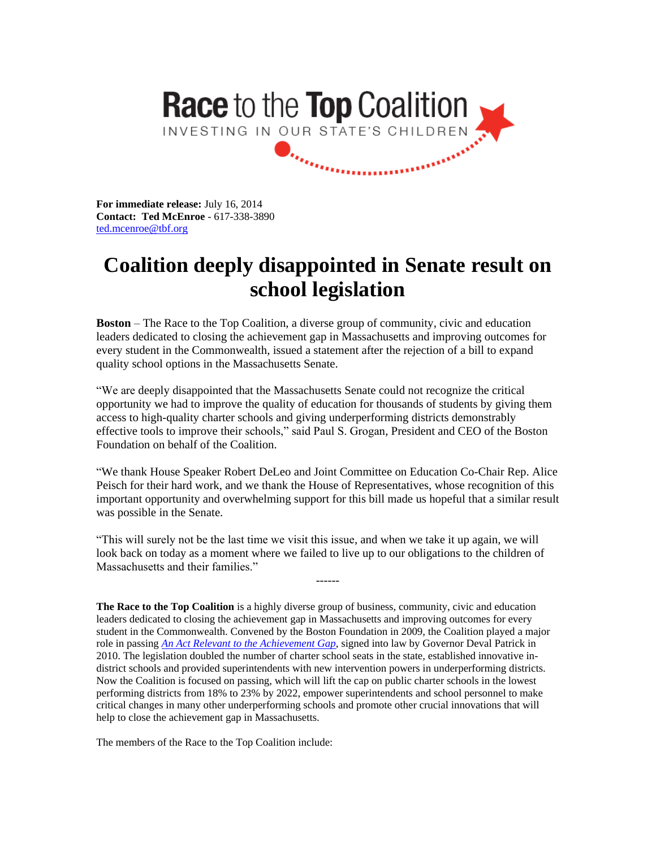

**For immediate release:** July 16, 2014 **Contact: Ted McEnroe** - 617-338-3890 [ted.mcenroe@tbf.org](mailto:ted.mcenroe@tbf.org)

## **Coalition deeply disappointed in Senate result on school legislation**

**Boston** – The Race to the Top Coalition, a diverse group of community, civic and education leaders dedicated to closing the achievement gap in Massachusetts and improving outcomes for every student in the Commonwealth, issued a statement after the rejection of a bill to expand quality school options in the Massachusetts Senate.

"We are deeply disappointed that the Massachusetts Senate could not recognize the critical opportunity we had to improve the quality of education for thousands of students by giving them access to high-quality charter schools and giving underperforming districts demonstrably effective tools to improve their schools," said Paul S. Grogan, President and CEO of the Boston Foundation on behalf of the Coalition.

"We thank House Speaker Robert DeLeo and Joint Committee on Education Co-Chair Rep. Alice Peisch for their hard work, and we thank the House of Representatives, whose recognition of this important opportunity and overwhelming support for this bill made us hopeful that a similar result was possible in the Senate.

"This will surely not be the last time we visit this issue, and when we take it up again, we will look back on today as a moment where we failed to live up to our obligations to the children of Massachusetts and their families."

------

**The Race to the Top Coalition** is a highly diverse group of business, community, civic and education leaders dedicated to closing the achievement gap in Massachusetts and improving outcomes for every student in the Commonwealth. Convened by the Boston Foundation in 2009, the Coalition played a major role in passing *[An Act Relevant to the Achievement Gap](http://www.bostonfoundation.org/uploadedFiles/Sub_Site/web_specials/Race_to_the_Top/Education%20Reform%20Act%20of%202009%20-%20final%20committee%20version.doc)*, signed into law by Governor Deval Patrick in 2010. The legislation doubled the number of charter school seats in the state, established innovative indistrict schools and provided superintendents with new intervention powers in underperforming districts. Now the Coalition is focused on passing, which will lift the cap on public charter schools in the lowest performing districts from 18% to 23% by 2022, empower superintendents and school personnel to make critical changes in many other underperforming schools and promote other crucial innovations that will help to close the achievement gap in Massachusetts.

The members of the Race to the Top Coalition include: